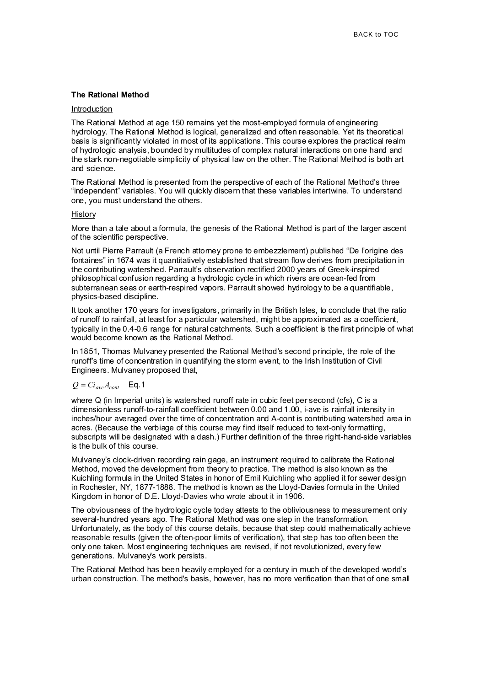## **The Rational Method**

#### Introduction

The Rational Method at age 150 remains yet the most-employed formula of engineering hydrology. The Rational Method is logical, generalized and often reasonable. Yet its theoretical basis is significantly violated in most of its applications. This course explores the practical realm of hydrologic analysis, bounded by multitudes of complex natural interactions on one hand and the stark non-negotiable simplicity of physical law on the other. The Rational Method is both art and science.

The Rational Method is presented from the perspective of each of the Rational Method's three "independent" variables. You will quickly discern that these variables intertwine. To understand one, you must understand the others.

### **History**

More than a tale about a formula, the genesis of the Rational Method is part of the larger ascent of the scientific perspective.

Not until Pierre Parrault (a French attorney prone to embezzlement) published "De l'origine des fontaines" in 1674 was it quantitatively established that stream flow derives from precipitation in the contributing watershed. Parrault's observation rectified 2000 years of Greek-inspired philosophical confusion regarding a hydrologic cycle in which rivers are ocean-fed from subterranean seas or earth-respired vapors. Parrault showed hydrology to be a quantifiable, physics-based discipline.

It took another 170 years for investigators, primarily in the British Isles, to conclude that the ratio of runoff to rainfall, at least for a particular watershed, might be approximated as a coefficient, typically in the 0.4-0.6 range for natural catchments. Such a coefficient is the first principle of what would become known as the Rational Method.

In 1851, Thomas Mulvaney presented the Rational Method's second principle, the role of the runoff's time of concentration in quantifying the storm event, to the Irish Institution of Civil Engineers. Mulvaney proposed that,

## $Q = Ci_{ave}A_{cont}$  Eq. 1

where Q (in Imperial units) is watershed runoff rate in cubic feet per second (cfs), C is a dimensionless runoff-to-rainfall coefficient between 0.00 and 1.00, i-ave is rainfall intensity in inches/hour averaged over the time of concentration and A-cont is contributing watershed area in acres. (Because the verbiage of this course may find itself reduced to text-only formatting, subscripts will be designated with a dash.) Further definition of the three right-hand-side variables is the bulk of this course.

Mulvaney's clock-driven recording rain gage, an instrument required to calibrate the Rational Method, moved the development from theory to practice. The method is also known as the Kuichling formula in the United States in honor of Emil Kuichling who applied it for sewer design in Rochester, NY, 1877-1888. The method is known as the Lloyd-Davies formula in the United Kingdom in honor of D.E. Lloyd-Davies who wrote about it in 1906.

The obviousness of the hydrologic cycle today attests to the obliviousness to measurement only several-hundred years ago. The Rational Method was one step in the transformation. Unfortunately, as the body of this course details, because that step could mathematically achieve reasonable results (given the often-poor limits of verification), that step has too often been the only one taken. Most engineering techniques are revised, if not revolutionized, every few generations. Mulvaney's work persists.

The Rational Method has been heavily employed for a century in much of the developed world's urban construction. The method's basis, however, has no more verification than that of one small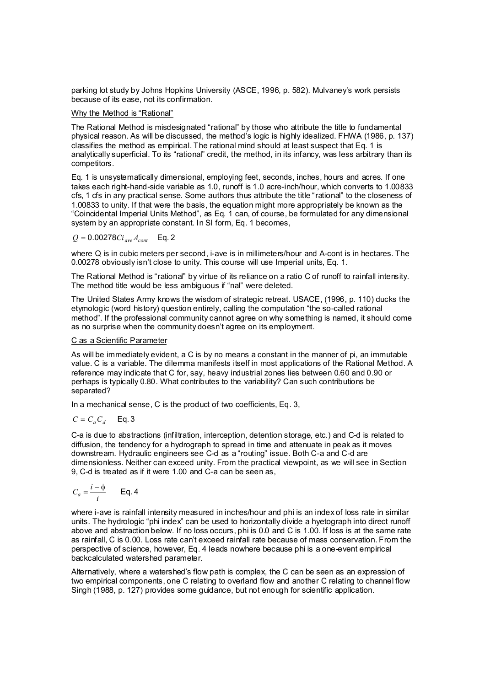parking lot study by Johns Hopkins University (ASCE, 1996, p. 582). Mulvaney's work persists because of its ease, not its confirmation.

Why the Method is "Rational"

The Rational Method is misdesignated "rational" by those who attribute the title to fundamental physical reason. As will be discussed, the method's logic is highly idealized. FHWA (1986, p. 137) classifies the method as empirical. The rational mind should at least suspect that Eq. 1 is analytically superficial. To its "rational" credit, the method, in its infancy, was less arbitrary than its competitors.

Eq. 1 is unsystematically dimensional, employing feet, seconds, inches, hours and acres. If one takes each right-hand-side variable as 1.0, runoff is 1.0 acre-inch/hour, which converts to 1.00833 cfs, 1 cfs in any practical sense. Some authors thus attribute the title "rational" to the closeness of 1.00833 to unity. If that were the basis, the equation might more appropriately be known as the "Coincidental Imperial Units Method", as Eq. 1 can, of course, be formulated for any dimensional system by an appropriate constant. In SI form, Eq. 1 becomes,

$$
Q = 0.00278C i_{ave} A_{cont}
$$
 Eq. 2

where Q is in cubic meters per second, i-ave is in millimeters/hour and A-cont is in hectares. The 0.00278 obviously isn't close to unity. This course will use Imperial units, Eq. 1.

The Rational Method is "rational" by virtue of its reliance on a ratio C of runoff to rainfall intensity. The method title would be less ambiguous if "nal" were deleted.

The United States Army knows the wisdom of strategic retreat. USACE, (1996, p. 110) ducks the etymologic (word history) question entirely, calling the computation "the so-called rational method". If the professional community cannot agree on why something is named, it should come as no surprise when the community doesn't agree on its employment.

### C as a Scientific Parameter

As will be immediately evident, a C is by no means a constant in the manner of pi, an immutable value. C is a variable. The dilemma manifests itself in most applications of the Rational Method. A reference may indicate that C for, say, heavy industrial zones lies between 0.60 and 0.90 or perhaps is typically 0.80. What contributes to the variability? Can such contributions be separated?

In a mechanical sense, C is the product of two coefficients, Eq. 3,

$$
C = C_a C_d \qquad \text{Eq. 3}
$$

C-a is due to abstractions (infiltration, interception, detention storage, etc.) and C-d is related to diffusion, the tendency for a hydrograph to spread in time and attenuate in peak as it moves downstream. Hydraulic engineers see C-d as a "routing" issue. Both C-a and C-d are dimensionless. Neither can exceed unity. From the practical viewpoint, as we will see in Section 9, C-d is treated as if it were 1.00 and C-a can be seen as,

$$
C_a = \frac{i - \phi}{i} \qquad \text{Eq. 4}
$$

where i-ave is rainfall intensity measured in inches/hour and phi is an index of loss rate in similar units. The hydrologic "phi index" can be used to horizontally divide a hyetograph into direct runoff above and abstraction below. If no loss occurs, phi is 0.0 and C is 1.00. If loss is at the same rate as rainfall, C is 0.00. Loss rate can't exceed rainfall rate because of mass conservation. From the perspective of science, however, Eq. 4 leads nowhere because phi is a one-event empirical backcalculated watershed parameter.

Alternatively, where a watershed's flow path is complex, the C can be seen as an expression of two empirical components, one C relating to overland flow and another C relating to channel flow Singh (1988, p. 127) provides some guidance, but not enough for scientific application.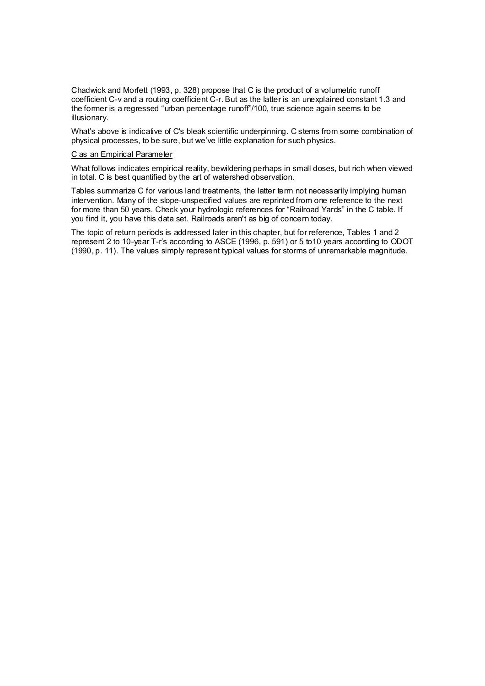Chadwick and Morfett (1993, p. 328) propose that C is the product of a volumetric runoff coefficient C-v and a routing coefficient C-r. But as the latter is an unexplained constant 1.3 and the former is a regressed "urban percentage runoff"/100, true science again seems to be illusionary.

What's above is indicative of C's bleak scientific underpinning. C stems from some combination of physical processes, to be sure, but we've little explanation for such physics.

#### C as an Empirical Parameter

What follows indicates empirical reality, bewildering perhaps in small doses, but rich when viewed in total. C is best quantified by the art of watershed observation.

Tables summarize C for various land treatments, the latter term not necessarily implying human intervention. Many of the slope-unspecified values are reprinted from one reference to the next for more than 50 years. Check your hydrologic references for "Railroad Yards" in the C table. If you find it, you have this data set. Railroads aren't as big of concern today.

The topic of return periods is addressed later in this chapter, but for reference, Tables 1 and 2 represent 2 to 10-year T-r's according to ASCE (1996, p. 591) or 5 to10 years according to ODOT (1990, p. 11). The values simply represent typical values for storms of unremarkable magnitude.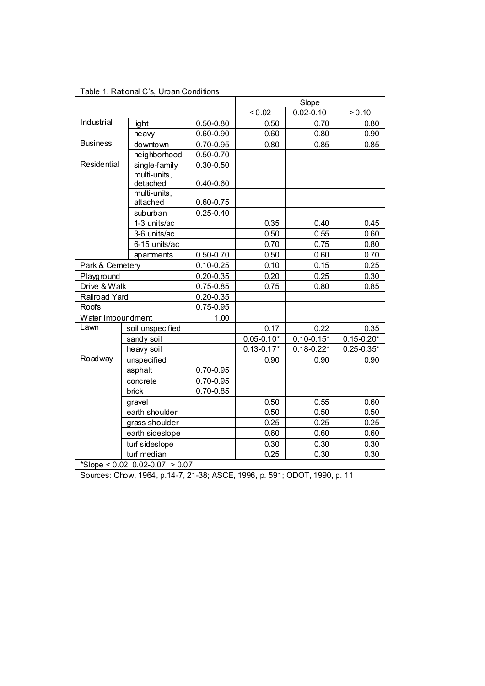| Table 1. Rational C's, Urban Conditions                                   |                                     |               |                |                |                |
|---------------------------------------------------------------------------|-------------------------------------|---------------|----------------|----------------|----------------|
|                                                                           |                                     |               |                | Slope          |                |
|                                                                           |                                     |               | < 0.02         | $0.02 - 0.10$  | > 0.10         |
| Industrial                                                                | light                               | $0.50 - 0.80$ | 0.50           | 0.70           | 0.80           |
|                                                                           | heavy                               | $0.60 - 0.90$ | 0.60           | 0.80           | 0.90           |
| <b>Business</b>                                                           | downtown                            | 0.70-0.95     | 0.80           | 0.85           | 0.85           |
|                                                                           | neighborhood                        | $0.50 - 0.70$ |                |                |                |
| Residential                                                               | single-family                       | $0.30 - 0.50$ |                |                |                |
|                                                                           | multi-units,<br>detached            | $0.40 - 0.60$ |                |                |                |
|                                                                           | multi-units,                        |               |                |                |                |
|                                                                           | attached                            | 0.60-0.75     |                |                |                |
|                                                                           | suburban                            | $0.25 - 0.40$ |                |                |                |
|                                                                           | 1-3 units/ac                        |               | 0.35           | 0.40           | 0.45           |
|                                                                           | 3-6 units/ac                        |               | 0.50           | 0.55           | 0.60           |
|                                                                           | 6-15 units/ac                       |               | 0.70           | 0.75           | 0.80           |
|                                                                           | apartments                          | $0.50 - 0.70$ | 0.50           | 0.60           | 0.70           |
|                                                                           | Park & Cemetery                     |               | 0.10           | 0.15           | 0.25           |
| Playground                                                                |                                     | $0.20 - 0.35$ | 0.20           | 0.25           | 0.30           |
| Drive & Walk                                                              |                                     | 0.75-0.85     | 0.75           | 0.80           | 0.85           |
| Railroad Yard                                                             |                                     | $0.20 - 0.35$ |                |                |                |
| Roofs                                                                     |                                     | $0.75 - 0.95$ |                |                |                |
| Water Impoundment                                                         |                                     | 1.00          |                |                |                |
| Lawn                                                                      | soil unspecified                    |               | 0.17           | 0.22           | 0.35           |
|                                                                           | sandy soil                          |               | $0.05 - 0.10*$ | $0.10 - 0.15*$ | $0.15 - 0.20*$ |
|                                                                           | heavy soil                          |               | $0.13 - 0.17*$ | $0.18 - 0.22*$ | $0.25 - 0.35*$ |
| Roadway                                                                   | unspecified                         |               | 0.90           | 0.90           | 0.90           |
|                                                                           | asphalt                             | 0.70-0.95     |                |                |                |
|                                                                           | concrete                            | 0.70-0.95     |                |                |                |
|                                                                           | brick                               | $0.70 - 0.85$ |                |                |                |
|                                                                           | gravel                              |               | 0.50           | 0.55           | 0.60           |
|                                                                           | earth shoulder                      |               | 0.50           | 0.50           | 0.50           |
| grass shoulder                                                            |                                     |               | 0.25           | 0.25           | 0.25           |
|                                                                           | earth sideslope                     |               | 0.60           | 0.60           | 0.60           |
| turf sideslope                                                            |                                     |               | 0.30           | 0.30           | 0.30           |
|                                                                           | turf median                         |               | 0.25           | 0.30           | 0.30           |
|                                                                           | *Slope < $0.02$ , 0.02-0.07, > 0.07 |               |                |                |                |
| Sources: Chow, 1964, p.14-7, 21-38; ASCE, 1996, p. 591; ODOT, 1990, p. 11 |                                     |               |                |                |                |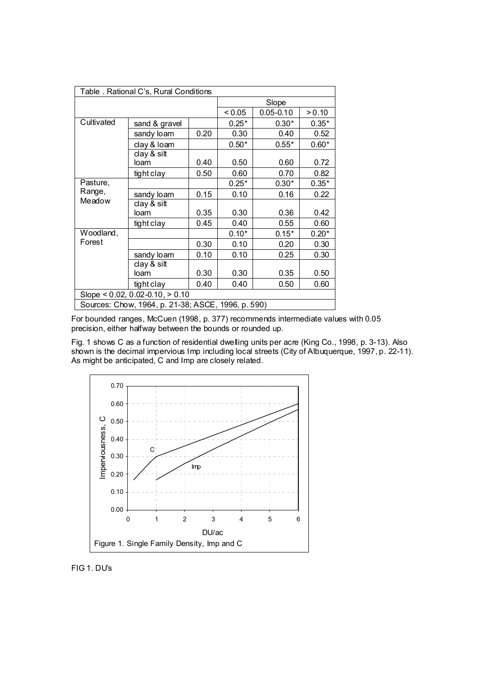| Table . Rational C's, Rural Conditions             |                       |      |         |               |         |
|----------------------------------------------------|-----------------------|------|---------|---------------|---------|
|                                                    |                       |      | Slope   |               |         |
|                                                    |                       |      | < 0.05  | $0.05 - 0.10$ | > 0.10  |
| Cultivated                                         | sand & gravel         |      | $0.25*$ | $0.30*$       | $0.35*$ |
|                                                    | sandy loam            | 0.20 | 0.30    | 0.40          | 0.52    |
|                                                    | clay & Ioam           |      | $0.50*$ | $0.55*$       | $0.60*$ |
|                                                    | clay $&$ silt<br>loam | 0.40 | 0.50    | 0.60          | 0.72    |
|                                                    | tight clay            | 0.50 | 0.60    | 0.70          | 0.82    |
| Pasture,                                           |                       |      | $0.25*$ | $0.30*$       | $0.35*$ |
| Range,                                             | sandy loam            | 0.15 | 0.10    | 0.16          | 0.22    |
| Meadow                                             | clay & silt           |      |         |               |         |
|                                                    | loam                  | 0.35 | 0.30    | 0.36          | 0.42    |
|                                                    | tight clay            | 0.45 | 0.40    | 0.55          | 0.60    |
| Woodland,                                          |                       |      | $0.10*$ | $0.15*$       | $0.20*$ |
| Forest                                             |                       | 0.30 | 0.10    | 0.20          | 0.30    |
|                                                    | sandy loam            | 0.10 | 0.10    | 0.25          | 0.30    |
|                                                    | clay & silt           |      |         |               |         |
|                                                    | loam                  | 0.30 | 0.30    | 0.35          | 0.50    |
|                                                    | tight clay            | 0.40 | 0.40    | 0.50          | 0.60    |
| Slope $< 0.02$ , 0.02-0.10, $> 0.10$               |                       |      |         |               |         |
| Sources: Chow, 1964, p. 21-38; ASCE, 1996, p. 590) |                       |      |         |               |         |

For bounded ranges, McCuen (1998, p. 377) recommends intermediate values with 0.05 precision, either halfway between the bounds or rounded up.

Fig. 1 shows C as a function of residential dwelling units per acre (King Co., 1998, p. 3-13). Also shown is the decimal impervious Imp including local streets (City of Albuquerque, 1997, p. 22-11). As might be anticipated, C and Imp are closely related.



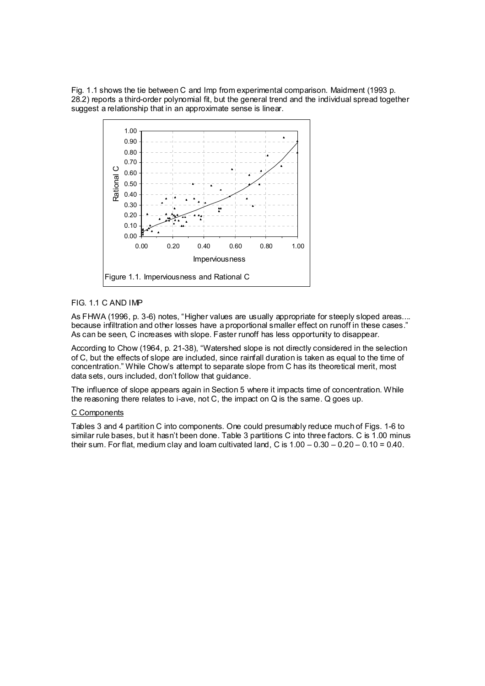Fig. 1.1 shows the tie between C and Imp from experimental comparison. Maidment (1993 p. 28.2) reports a third-order polynomial fit, but the general trend and the individual spread together suggest a relationship that in an approximate sense is linear.



# FIG. 1.1 C AND IMP

As FHWA (1996, p. 3-6) notes, "Higher values are usually appropriate for steeply sloped areas.... because infiltration and other losses have a proportional smaller effect on runoff in these cases." As can be seen, C increases with slope. Faster runoff has less opportunity to disappear.

According to Chow (1964, p. 21-38), "Watershed slope is not directly considered in the selection of C, but the effects of slope are included, since rainfall duration is taken as equal to the time of concentration." While Chow's attempt to separate slope from C has its theoretical merit, most data sets, ours included, don't follow that guidance.

The influence of slope appears again in Section 5 where it impacts time of concentration. While the reasoning there relates to i-ave, not C, the impact on Q is the same. Q goes up.

## C Components

Tables 3 and 4 partition C into components. One could presumably reduce much of Figs. 1-6 to similar rule bases, but it hasn't been done. Table 3 partitions C into three factors. C is 1.00 minus their sum. For flat, medium clay and loam cultivated land, C is  $1.00 - 0.30 - 0.20 - 0.10 = 0.40$ .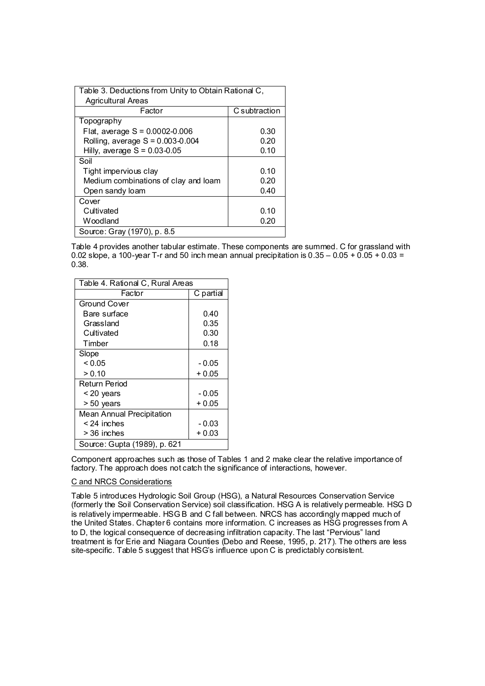| Table 3. Deductions from Unity to Obtain Rational C, |               |  |  |  |
|------------------------------------------------------|---------------|--|--|--|
| <b>Agricultural Areas</b>                            |               |  |  |  |
| Factor                                               | C subtraction |  |  |  |
| Topography                                           |               |  |  |  |
| Flat, average $S = 0.0002 - 0.006$                   | 0.30          |  |  |  |
| Rolling, average $S = 0.003 - 0.004$                 | 0.20          |  |  |  |
| Hilly, average $S = 0.03 - 0.05$                     | 0.10          |  |  |  |
| Soil                                                 |               |  |  |  |
| Tight impervious clay                                | 0.10          |  |  |  |
| Medium combinations of clay and loam                 | 0.20          |  |  |  |
| Open sandy loam                                      | 0.40          |  |  |  |
| Cover                                                |               |  |  |  |
| Cultivated                                           | 0.10          |  |  |  |
| Woodland                                             | 0.20          |  |  |  |
| Source: Gray (1970), p. 8.5                          |               |  |  |  |

Table 4 provides another tabular estimate. These components are summed. C for grassland with 0.02 slope, a 100-year T-r and 50 inch mean annual precipitation is  $0.35 - 0.05 + 0.05 + 0.03 =$ 0.38.

| Table 4. Rational C, Rural Areas |           |  |  |  |
|----------------------------------|-----------|--|--|--|
| Factor                           | C partial |  |  |  |
| Ground Cover                     |           |  |  |  |
| Bare surface                     | 0.40      |  |  |  |
| Grassland                        | 0.35      |  |  |  |
| Cultivated                       | 0.30      |  |  |  |
| Timber                           | 0.18      |  |  |  |
| Slope                            |           |  |  |  |
| ${}_{<0.05}$                     | $-0.05$   |  |  |  |
| > 0.10                           | + 0.05    |  |  |  |
| Return Period                    |           |  |  |  |
| < 20 years                       | $-0.05$   |  |  |  |
| > 50 years                       | + 0.05    |  |  |  |
| <b>Mean Annual Precipitation</b> |           |  |  |  |
| $< 24$ inches                    | - 0.03    |  |  |  |
| > 36 inches                      | $+0.03$   |  |  |  |
| Source: Gupta (1989), p. 621     |           |  |  |  |

Component approaches such as those of Tables 1 and 2 make clear the relative importance of factory. The approach does not catch the significance of interactions, however.

## C and NRCS Considerations

Table 5 introduces Hydrologic Soil Group (HSG), a Natural Resources Conservation Service (formerly the Soil Conservation Service) soil classification. HSG A is relatively permeable. HSG D is relatively impermeable. HSG B and C fall between. NRCS has accordingly mapped much of the United States. Chapter 6 contains more information. C increases as HSG progresses from A to D, the logical consequence of decreasing infiltration capacity. The last "Pervious" land treatment is for Erie and Niagara Counties (Debo and Reese, 1995, p. 217). The others are less site-specific. Table 5 suggest that HSG's influence upon C is predictably consistent.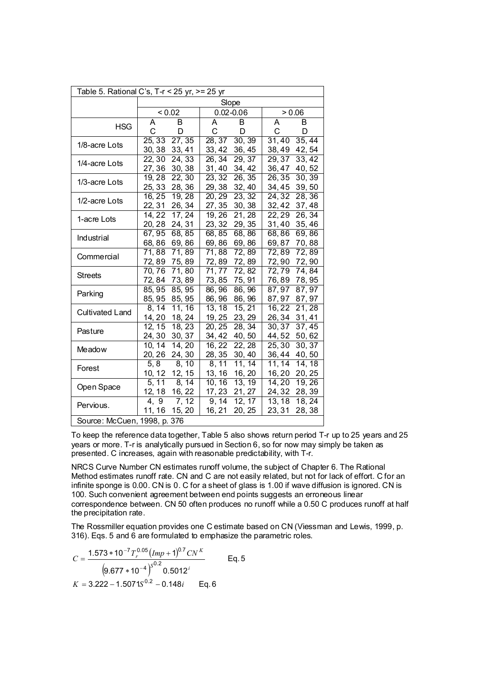| Table 5. Rational C's, T-r < 25 yr, >= 25 yr |                                   |                                      |                           |  |  |
|----------------------------------------------|-----------------------------------|--------------------------------------|---------------------------|--|--|
|                                              | Slope                             |                                      |                           |  |  |
|                                              | < 0.02                            | $0.02 - 0.06$                        | 0.06                      |  |  |
| <b>HSG</b>                                   | B                                 | A                                    | B                         |  |  |
|                                              | Α                                 | B                                    | Α                         |  |  |
|                                              | C                                 | C                                    | C                         |  |  |
|                                              | D                                 | D                                    | D                         |  |  |
| 1/8-acre Lots                                | 27, 35                            | 28, 37                               | 35,44                     |  |  |
|                                              | 25, 33                            | 30, 39                               | 31,40                     |  |  |
|                                              | 30, 38                            | 36, 45                               | 42, 54                    |  |  |
|                                              | 33, 41                            | 33, 42                               | 38,49                     |  |  |
| 1/4-acre Lots                                | 24, 33                            | 26, 34                               | 29, 37                    |  |  |
|                                              | 22, 30                            | 29, 37                               | 33, 42                    |  |  |
|                                              | 27, 36                            | 31, 40                               | 36,47                     |  |  |
|                                              | 30, 38                            | 34, 42                               | 40,52                     |  |  |
|                                              | 19,28                             | 23, 32                               | 30, 39                    |  |  |
|                                              | 22, 30                            | 26, 35                               | 26, 35                    |  |  |
| 1/3-acre Lots                                | 25, 33                            | 29, 38                               | 34,45                     |  |  |
|                                              | 28, 36                            | 32, 40                               | 39,50                     |  |  |
|                                              | 16, 25                            | 20, 29                               | 28,36                     |  |  |
|                                              | 19, 28                            | 23, 32                               | 24, 32                    |  |  |
| 1/2-acre Lots                                | 22, 31                            | 27, 35                               | 32,42                     |  |  |
|                                              | 26, 34                            | 30, 38                               | 37,48                     |  |  |
|                                              | 17, 24                            | 19, 26                               | 22, 29                    |  |  |
|                                              | 14, 22                            | 21, 28                               | 26, 34                    |  |  |
| 1-acre Lots                                  | 20, 28                            | 23, 32                               | 31,40                     |  |  |
|                                              | 24, 31                            | 29, 35                               | 35, 46                    |  |  |
|                                              | 67,95                             | 68,85                                | 68,86                     |  |  |
|                                              | 68, 85                            | 68,86                                | 69,86                     |  |  |
| Industrial                                   | 68,86                             | 69,86                                | 69,87                     |  |  |
|                                              | 69,86                             | 69,86                                | 70,88                     |  |  |
|                                              | $\overline{71}$ , 89              | 71,88                                | 72,89                     |  |  |
|                                              | 71,88                             | 72,89                                | 72,89                     |  |  |
| Commercial                                   | 72, 89                            | 72, 89                               | 72,90                     |  |  |
|                                              | 75, 89                            | 72,89                                | 72,90                     |  |  |
| <b>Streets</b>                               | 71,80                             | 72, 82                               | 74,84                     |  |  |
|                                              | 70, 76                            | 71,77                                | 72,79                     |  |  |
|                                              | 72, 84                            | 73, 85                               | 78,95                     |  |  |
|                                              | 73, 89                            | 75, 91                               | 76,89                     |  |  |
| Parking                                      | 85, 95                            | 86, 96                               | 87,97                     |  |  |
|                                              | 85, 95                            | 86, 96                               | 87, 97                    |  |  |
|                                              | 85, 95                            | 86, 96                               | 87,97                     |  |  |
|                                              | 85, 95                            | 86, 96                               | 87, 97                    |  |  |
| <b>Cultivated Land</b>                       | 11, 16                            | 13, 18                               | 16,22                     |  |  |
|                                              | 8, 14                             | 15, 21                               | 21,28                     |  |  |
|                                              | 14, 20                            | 19, 25                               | 26,34                     |  |  |
|                                              | 18, 24                            | 23, 29                               | 31,41                     |  |  |
| Pasture                                      | 18, 23                            | 20, 25                               | 30, 37                    |  |  |
|                                              | 12, 15                            | 28, 34                               | 37,45                     |  |  |
|                                              | 24, 30                            | 40, 50                               | 44,52                     |  |  |
|                                              | 30, 37                            | 34, 42                               | 50,62                     |  |  |
| Meadow                                       | 14, 20                            | 16, 22                               | 25,30                     |  |  |
|                                              | 10, 14                            | $\overline{2}2, 28$                  | 30, 37                    |  |  |
|                                              | 20, 26<br>24, 30                  | 28, 35<br>30, 40<br>11, 14           | 36,44<br>40,50            |  |  |
| Forest                                       | 5, 8<br>8, 10<br>10, 12<br>12, 15 | 8, 11                                | 11, 14<br>14, 18<br>16,20 |  |  |
|                                              | 8, 14<br>5, 11                    | 13, 16<br>16, 20<br>10, 16<br>13, 19 | 20, 25<br>19,26<br>14,20  |  |  |
| Open Space                                   | 12, 18                            | 17, 23                               | 24, 32                    |  |  |
|                                              | 16, 22                            | 21, 27                               | 28, 39                    |  |  |
|                                              | $\overline{4}$ , 9                | 9, 14                                | 13, 18                    |  |  |
|                                              | 7, 12                             | 12, 17                               | 18, 24                    |  |  |
| Pervious.                                    | 11, 16                            | 16, 21                               | 23, 31                    |  |  |
|                                              | 15, 20                            | 20, 25                               | 28,38                     |  |  |
| Source: McCuen, 1998, p. 376                 |                                   |                                      |                           |  |  |

To keep the reference data together, Table 5 also shows return period T-r up to 25 years and 25 years or more. T-r is analytically pursued in Section 6, so for now may simply be taken as presented. C increases, again with reasonable predictability, with T-r.

NRCS Curve Number CN estimates runoff volume, the subject of Chapter 6. The Rational Method estimates runoff rate. CN and C are not easily related, but not for lack of effort. C for an infinite sponge is 0.00. CN is 0. C for a sheet of glass is 1.00 if wave diffusion is ignored. CN is 100. Such convenient agreement between end points suggests an erroneous linear correspondence between. CN 50 often produces no runoff while a 0.50 C produces runoff at half the precipitation rate.

The Rossmiller equation provides one C estimate based on CN (Viessman and Lewis, 1999, p. 316). Eqs. 5 and 6 are formulated to emphasize the parametric roles.

$$
C = \frac{1.573 * 10^{-7} T_r^{0.05} (Imp + 1)^{0.7} CN^K}{(9.677 * 10^{-4})^{S^{0.2}} 0.5012^i}
$$
 Eq. 5  

$$
K = 3.222 - 1.5071S^{0.2} - 0.148i
$$
 Eq. 6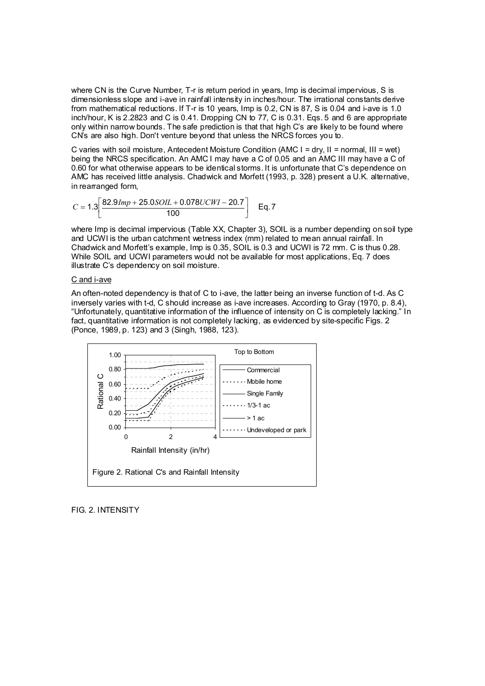where CN is the Curve Number, T-r is return period in years, Imp is decimal impervious, S is dimensionless slope and i-ave in rainfall intensity in inches/hour. The irrational constants derive from mathematical reductions. If T-r is 10 years, Imp is 0.2, CN is 87, S is 0.04 and i-ave is 1.0 inch/hour, K is 2.2823 and C is 0.41. Dropping CN to 77, C is 0.31. Eqs. 5 and 6 are appropriate only within narrow bounds. The safe prediction is that that high C's are likely to be found where CN's are also high. Don't venture beyond that unless the NRCS forces you to.

C varies with soil moisture, Antecedent Moisture Condition (AMC I = dry, II = normal, III = wet) being the NRCS specification. An AMC I may have a C of 0.05 and an AMC III may have a C of 0.60 for what otherwise appears to be identical storms. It is unfortunate that C's dependence on AMC has received little analysis. Chadwick and Morfett (1993, p. 328) present a U.K. alternative, in rearranged form,

$$
C = 1.3 \left[ \frac{82.9 \text{Imp} + 25.0 \text{SOL} + 0.078 \text{UCWI} - 20.7}{100} \right] \quad \text{Eq. 7}
$$

where Imp is decimal impervious (Table XX, Chapter 3), SOIL is a number depending on soil type and UCWI is the urban catchment wetness index (mm) related to mean annual rainfall. In Chadwick and Morfett's example, Imp is 0.35, SOIL is 0.3 and UCWI is 72 mm. C is thus 0.28. While SOIL and UCWI parameters would not be available for most applications, Eq. 7 does illustrate C's dependency on soil moisture.

### C and i-ave

An often-noted dependency is that of C to i-ave, the latter being an inverse function of t-d. As C inversely varies with t-d, C should increase as i-ave increases. According to Gray (1970, p. 8.4), "Unfortunately, quantitative information of the influence of intensity on C is completely lacking." In fact, quantitative information is not completely lacking, as evidenced by site-specific Figs. 2 (Ponce, 1989, p. 123) and 3 (Singh, 1988, 123).



## FIG. 2. INTENSITY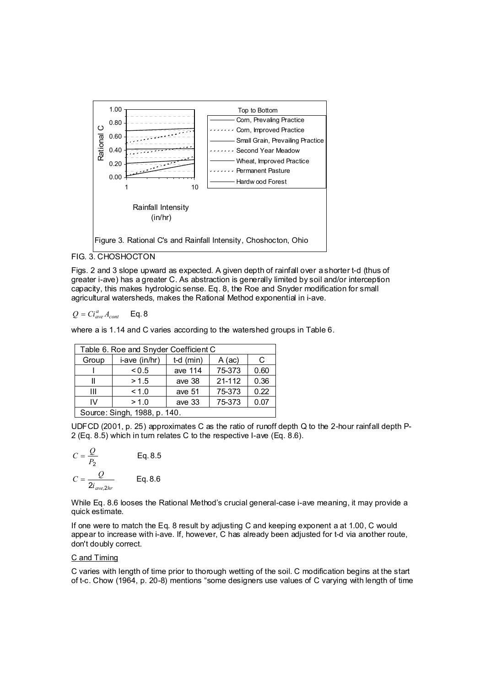

FIG. 3. CHOSHOCTON

Figs. 2 and 3 slope upward as expected. A given depth of rainfall over a shorter t-d (thus of greater i-ave) has a greater C. As abstraction is generally limited by soil and/or interception capacity, this makes hydrologic sense. Eq. 8, the Roe and Snyder modification for small agricultural watersheds, makes the Rational Method exponential in i-ave.

$$
Q = Ci_{ave}^a A_{cont} \qquad \text{Eq. 8}
$$

where a is 1.14 and C varies according to the watershed groups in Table 6.

| Table 6. Roe and Snyder Coefficient C                |        |        |            |      |  |  |
|------------------------------------------------------|--------|--------|------------|------|--|--|
| i-ave (in/hr)<br>$t-d$ (min)<br>Group<br>A (ac)<br>C |        |        |            |      |  |  |
|                                                      | 75-373 | 0.60   |            |      |  |  |
|                                                      | >1.5   | ave 38 | $21 - 112$ | 0.36 |  |  |
| 0.22<br>75-373<br>< 1.0<br>ave 51<br>Ш               |        |        |            |      |  |  |
| > 1.0<br>75-373<br>ave 33<br>0.07<br>IV              |        |        |            |      |  |  |
| Source: Singh, 1988, p. 140.                         |        |        |            |      |  |  |

UDFCD (2001, p. 25) approximates C as the ratio of runoff depth Q to the 2-hour rainfall depth P-2 (Eq. 8.5) which in turn relates C to the respective I-ave (Eq. 8.6).

$$
C = \frac{Q}{P_2}
$$
 Eq. 8.5  

$$
C = \frac{Q}{2i_{ave,2hr}}
$$
 Eq. 8.6

While Eq. 8.6 looses the Rational Method's crucial general-case i-ave meaning, it may provide a quick estimate.

If one were to match the Eq. 8 result by adjusting C and keeping exponent a at 1.00, C would appear to increase with i-ave. If, however, C has already been adjusted for t-d via another route, don't doubly correct.

## C and Timing

C varies with length of time prior to thorough wetting of the soil. C modification begins at the start of t-c. Chow (1964, p. 20-8) mentions "some designers use values of C varying with length of time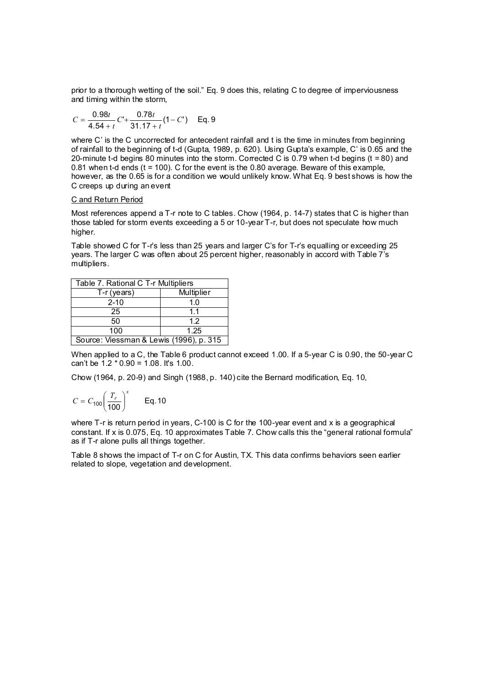prior to a thorough wetting of the soil." Eq. 9 does this, relating C to degree of imperviousness and timing within the storm,

$$
C = \frac{0.98t}{4.54 + t} C + \frac{0.78t}{31.17 + t} (1 - C')
$$
 Eq. 9

where C' is the C uncorrected for antecedent rainfall and t is the time in minutes from beginning of rainfall to the beginning of t-d (Gupta, 1989, p. 620). Using Gupta's example, C' is 0.65 and the 20-minute t-d begins 80 minutes into the storm. Corrected C is 0.79 when t-d begins (t = 80) and 0.81 when t-d ends  $(t = 100)$ . C for the event is the 0.80 average. Beware of this example, however, as the 0.65 is for a condition we would unlikely know. What Eq. 9 best shows is how the C creeps up during an event

#### C and Return Period

Most references append a T-r note to C tables. Chow (1964, p. 14-7) states that C is higher than those tabled for storm events exceeding a 5 or 10-year T-r, but does not speculate how much higher.

Table showed C for T-r's less than 25 years and larger C's for T-r's equalling or exceeding 25 years. The larger C was often about 25 percent higher, reasonably in accord with Table 7's multipliers.

| Table 7. Rational C T-r Multipliers     |     |  |  |  |
|-----------------------------------------|-----|--|--|--|
| <b>Multiplier</b><br>T-r (years)        |     |  |  |  |
| $2 - 10$                                | 1.0 |  |  |  |
| 25                                      | 11  |  |  |  |
| 50                                      | 12  |  |  |  |
| 100<br>1.25                             |     |  |  |  |
| Source: Viessman & Lewis (1996), p. 315 |     |  |  |  |

When applied to a C, the Table 6 product cannot exceed 1.00. If a 5-year C is 0.90, the 50-year C can't be 1.2 \* 0.90 = 1.08. It's 1.00.

Chow (1964, p. 20-9) and Singh (1988, p. 140) cite the Bernard modification, Eq. 10,

$$
C = C_{100} \left( \frac{T_r}{100} \right)^x \qquad \text{Eq. 10}
$$

where T-r is return period in years, C-100 is C for the 100-year event and x is a geographical constant. If x is 0.075, Eq. 10 approximates Table 7. Chow calls this the "general rational formula" as if T-r alone pulls all things together.

Table 8 shows the impact of T-r on C for Austin, TX. This data confirms behaviors seen earlier related to slope, vegetation and development.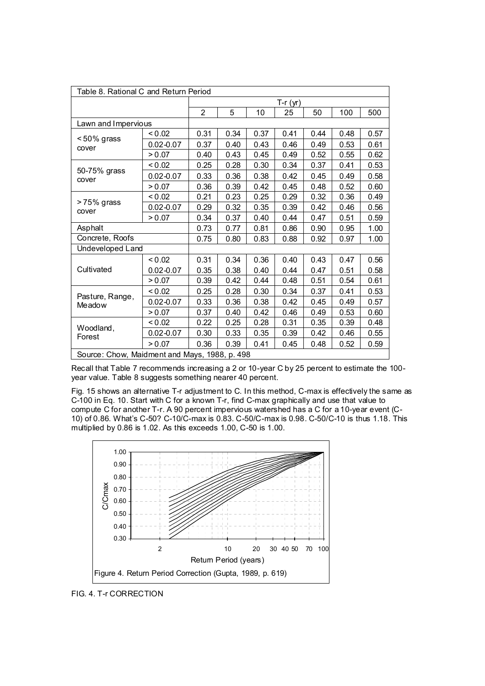| Table 8. Rational C and Return Period         |               |                |      |      |      |      |      |      |
|-----------------------------------------------|---------------|----------------|------|------|------|------|------|------|
|                                               |               | $T-r(yr)$      |      |      |      |      |      |      |
|                                               |               | $\overline{2}$ | 5    | 10   | 25   | 50   | 100  | 500  |
| Lawn and Impervious                           |               |                |      |      |      |      |      |      |
| <50% grass                                    | < 0.02        | 0.31           | 0.34 | 0.37 | 0.41 | 0.44 | 0.48 | 0.57 |
| cover                                         | $0.02 - 0.07$ | 0.37           | 0.40 | 0.43 | 0.46 | 0.49 | 0.53 | 0.61 |
|                                               | > 0.07        | 0.40           | 0.43 | 0.45 | 0.49 | 0.52 | 0.55 | 0.62 |
| 50-75% grass                                  | < 0.02        | 0.25           | 0.28 | 0.30 | 0.34 | 0.37 | 0.41 | 0.53 |
| cover                                         | $0.02 - 0.07$ | 0.33           | 0.36 | 0.38 | 0.42 | 0.45 | 0.49 | 0.58 |
|                                               | > 0.07        | 0.36           | 0.39 | 0.42 | 0.45 | 0.48 | 0.52 | 0.60 |
|                                               | < 0.02        | 0.21           | 0.23 | 0.25 | 0.29 | 0.32 | 0.36 | 0.49 |
| >75% grass<br>cover                           | $0.02 - 0.07$ | 0.29           | 0.32 | 0.35 | 0.39 | 0.42 | 0.46 | 0.56 |
|                                               | > 0.07        | 0.34           | 0.37 | 0.40 | 0.44 | 0.47 | 0.51 | 0.59 |
| Asphalt                                       |               | 0.73           | 0.77 | 0.81 | 0.86 | 0.90 | 0.95 | 1.00 |
| Concrete, Roofs                               |               | 0.75           | 0.80 | 0.83 | 0.88 | 0.92 | 0.97 | 1.00 |
| Undeveloped Land                              |               |                |      |      |      |      |      |      |
|                                               | < 0.02        | 0.31           | 0.34 | 0.36 | 0.40 | 0.43 | 0.47 | 0.56 |
| Cultivated                                    | $0.02 - 0.07$ | 0.35           | 0.38 | 0.40 | 0.44 | 0.47 | 0.51 | 0.58 |
|                                               | > 0.07        | 0.39           | 0.42 | 0.44 | 0.48 | 0.51 | 0.54 | 0.61 |
| Pasture, Range,                               | < 0.02        | 0.25           | 0.28 | 0.30 | 0.34 | 0.37 | 0.41 | 0.53 |
| Meadow                                        | $0.02 - 0.07$ | 0.33           | 0.36 | 0.38 | 0.42 | 0.45 | 0.49 | 0.57 |
|                                               | > 0.07        | 0.37           | 0.40 | 0.42 | 0.46 | 0.49 | 0.53 | 0.60 |
| Woodland,                                     | < 0.02        | 0.22           | 0.25 | 0.28 | 0.31 | 0.35 | 0.39 | 0.48 |
| Forest                                        | $0.02 - 0.07$ | 0.30           | 0.33 | 0.35 | 0.39 | 0.42 | 0.46 | 0.55 |
|                                               | > 0.07        | 0.36           | 0.39 | 0.41 | 0.45 | 0.48 | 0.52 | 0.59 |
| Source: Chow, Maidment and Mays, 1988, p. 498 |               |                |      |      |      |      |      |      |

Recall that Table 7 recommends increasing a 2 or 10-year C by 25 percent to estimate the 100 year value. Table 8 suggests something nearer 40 percent.

Fig. 15 shows an alternative T-r adjustment to C. In this method, C-max is effectively the same as C-100 in Eq. 10. Start with C for a known T-r, find C-max graphically and use that value to compute C for another T-r. A 90 percent impervious watershed has a C for a 10-year event (C-10) of 0.86. What's C-50? C-10/C-max is 0.83. C-50/C-max is 0.98. C-50/C-10 is thus 1.18. This multiplied by 0.86 is 1.02. As this exceeds 1.00, C-50 is 1.00.



FIG. 4. T-r CORRECTION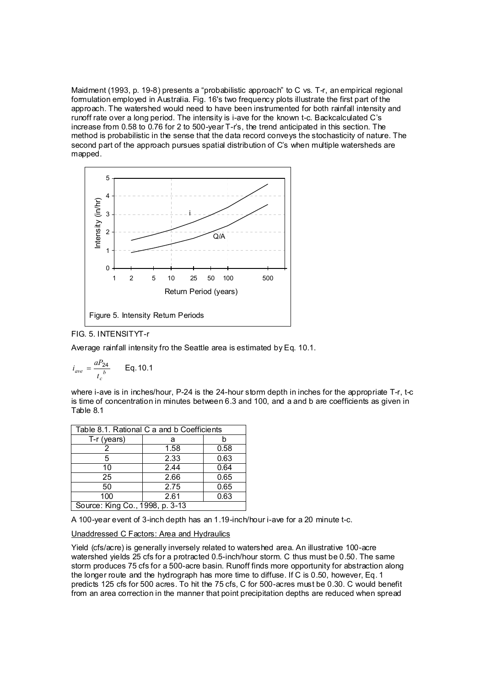Maidment (1993, p. 19-8) presents a "probabilistic approach" to C vs. T-r, an empirical regional formulation employed in Australia. Fig. 16's two frequency plots illustrate the first part of the approach. The watershed would need to have been instrumented for both rainfall intensity and runoff rate over a long period. The intensity is i-ave for the known t-c. Backcalculated C's increase from 0.58 to 0.76 for 2 to 500-year T-r's, the trend anticipated in this section. The method is probabilistic in the sense that the data record conveys the stochasticity of nature. The second part of the approach pursues spatial distribution of C's when multiple watersheds are mapped.



# FIG. 5. INTENSITYT-r

Average rainfall intensity fro the Seattle area is estimated by Eq. 10.1.

$$
i_{ave} = \frac{aP_{24}}{t_c^b} \qquad \text{Eq. 10.1}
$$

where i-ave is in inches/hour, P-24 is the 24-hour storm depth in inches for the appropriate T-r, t-c is time of concentration in minutes between 6.3 and 100, and a and b are coefficients as given in Table 8.1

| Table 8.1. Rational C a and b Coefficients |      |      |  |  |  |
|--------------------------------------------|------|------|--|--|--|
| $T-r$ (years)                              | а    |      |  |  |  |
|                                            | 1.58 | 0.58 |  |  |  |
| 5                                          | 2.33 | 0.63 |  |  |  |
| 10                                         | 2.44 | 0.64 |  |  |  |
| 25                                         | 2.66 | 0.65 |  |  |  |
| 50                                         | 2.75 | 0.65 |  |  |  |
| 100                                        | 2.61 | 0.63 |  |  |  |
| Source: King Co., 1998, p. 3-13            |      |      |  |  |  |

A 100-year event of 3-inch depth has an 1.19-inch/hour i-ave for a 20 minute t-c.

## Unaddressed C Factors: Area and Hydraulics

Yield (cfs/acre) is generally inversely related to watershed area. An illustrative 100-acre watershed yields 25 cfs for a protracted 0.5-inch/hour storm. C thus must be 0.50. The same storm produces 75 cfs for a 500-acre basin. Runoff finds more opportunity for abstraction along the longer route and the hydrograph has more time to diffuse. If C is 0.50, however, Eq. 1 predicts 125 cfs for 500 acres. To hit the 75 cfs, C for 500-acres must be 0.30. C would benefit from an area correction in the manner that point precipitation depths are reduced when spread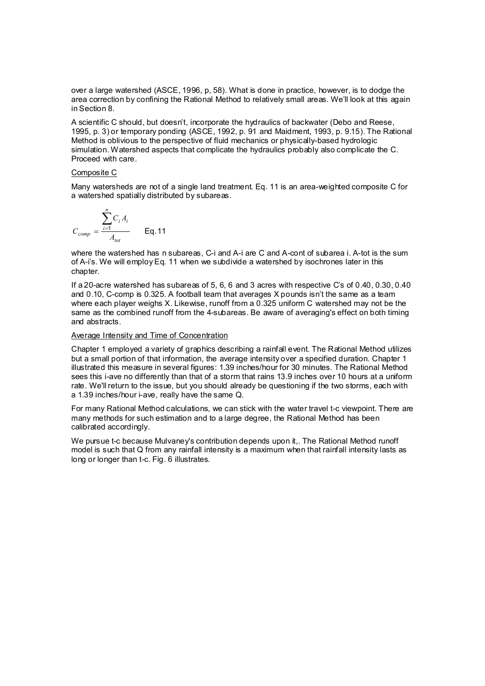over a large watershed (ASCE, 1996, p, 58). What is done in practice, however, is to dodge the area correction by confining the Rational Method to relatively small areas. We'll look at this again in Section 8.

A scientific C should, but doesn't, incorporate the hydraulics of backwater (Debo and Reese, 1995, p. 3) or temporary ponding (ASCE, 1992, p. 91 and Maidment, 1993, p. 9.15). The Rational Method is oblivious to the perspective of fluid mechanics or physically-based hydrologic simulation. Watershed aspects that complicate the hydraulics probably also complicate the C. Proceed with care.

### Composite C

Many watersheds are not of a single land treatment. Eq. 11 is an area-weighted composite C for a watershed spatially distributed by subareas.

$$
C_{comp} = \frac{\sum_{i=1}^{n} C_i A_i}{A_{tot}}
$$
 Eq. 11

where the watershed has n subareas, C-i and A-i are C and A-cont of subarea i. A-tot is the sum of A-i's. We will employ Eq. 11 when we subdivide a watershed by isochrones later in this chapter.

If a 20-acre watershed has subareas of 5, 6, 6 and 3 acres with respective C's of 0.40, 0.30, 0.40 and 0.10, C-comp is 0.325. A football team that averages X pounds isn't the same as a team where each player weighs X. Likewise, runoff from a 0.325 uniform C watershed may not be the same as the combined runoff from the 4-subareas. Be aware of averaging's effect on both timing and abstracts.

## Average Intensity and Time of Concentration

Chapter 1 employed a variety of graphics describing a rainfall event. The Rational Method utilizes but a small portion of that information, the average intensity over a specified duration. Chapter 1 illustrated this measure in several figures: 1.39 inches/hour for 30 minutes. The Rational Method sees this i-ave no differently than that of a storm that rains 13.9 inches over 10 hours at a uniform rate. We'll return to the issue, but you should already be questioning if the two storms, each with a 1.39 inches/hour i-ave, really have the same Q.

For many Rational Method calculations, we can stick with the water travel t-c viewpoint. There are many methods for such estimation and to a large degree, the Rational Method has been calibrated accordingly.

We pursue t-c because Mulvaney's contribution depends upon it,. The Rational Method runoff model is such that Q from any rainfall intensity is a maximum when that rainfall intensity lasts as long or longer than t-c. Fig. 6 illustrates.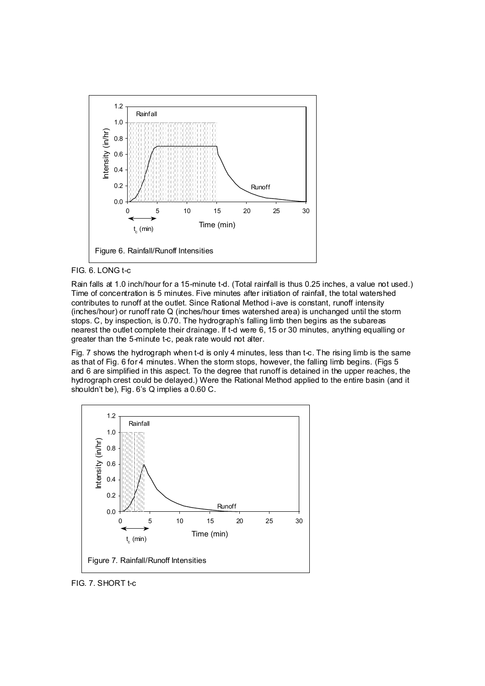



Rain falls at 1.0 inch/hour for a 15-minute t-d. (Total rainfall is thus 0.25 inches, a value not used.) Time of concentration is 5 minutes. Five minutes after initiation of rainfall, the total watershed contributes to runoff at the outlet. Since Rational Method i-ave is constant, runoff intensity (inches/hour) or runoff rate Q (inches/hour times watershed area) is unchanged until the storm stops. C, by inspection, is 0.70. The hydrograph's falling limb then begins as the subareas nearest the outlet complete their drainage. If t-d were 6, 15 or 30 minutes, anything equalling or greater than the 5-minute t-c, peak rate would not alter.

Fig. 7 shows the hydrograph when t-d is only 4 minutes, less than t-c. The rising limb is the same as that of Fig. 6 for 4 minutes. When the storm stops, however, the falling limb begins. (Figs 5 and 6 are simplified in this aspect. To the degree that runoff is detained in the upper reaches, the hydrograph crest could be delayed.) Were the Rational Method applied to the entire basin (and it shouldn't be), Fig. 6's Q implies a 0.60 C.



FIG. 7. SHORT t-c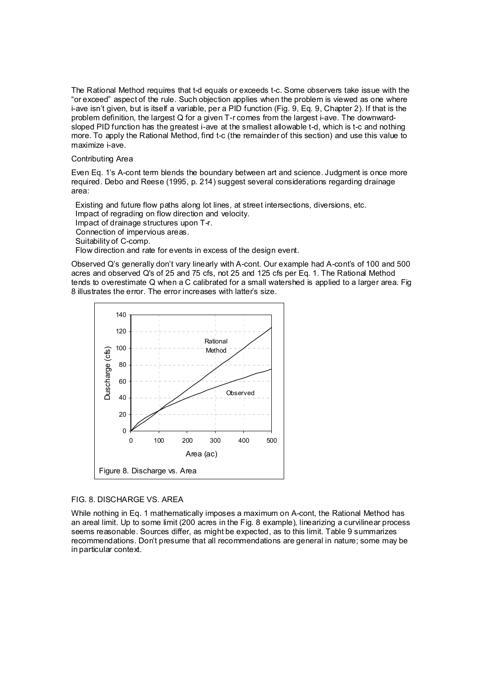The Rational Method requires that t-d equals or exceeds t-c. Some observers take issue with the "or exceed" aspect of the rule. Such objection applies when the problem is viewed as one where i-ave isn't given, but is itself a variable, per a PID function (Fig. 9, Eq. 9, Chapter 2). If that is the problem definition, the largest Q for a given T-r comes from the largest i-ave. The downwardsloped PID function has the greatest i-ave at the smallest allowable t-d, which is t-c and nothing more. To apply the Rational Method, find t-c (the remainder of this section) and use this value to maximize i-ave.

#### Contributing Area

Even Eq. 1's A-cont term blends the boundary between art and science. Judgment is once more required. Debo and Reese (1995, p. 214) suggest several considerations regarding drainage area:

 Existing and future flow paths along lot lines, at street intersections, diversions, etc. Impact of regrading on flow direction and velocity. Impact of drainage structures upon T-r. Connection of impervious areas. Suitability of C-comp. Flow direction and rate for events in excess of the design event.

Observed Q's generally don't vary linearly with A-cont. Our example had A-cont's of 100 and 500 acres and observed Q's of 25 and 75 cfs, not 25 and 125 cfs per Eq. 1. The Rational Method tends to overestimate Q when a C calibrated for a small watershed is applied to a larger area. Fig 8 illustrates the error. The error increases with latter's size.



## FIG. 8. DISCHARGE VS. AREA

While nothing in Eq. 1 mathematically imposes a maximum on A-cont, the Rational Method has an areal limit. Up to some limit (200 acres in the Fig. 8 example), linearizing a curvilinear process seems reasonable. Sources differ, as might be expected, as to this limit. Table 9 summarizes recommendations. Don't presume that all recommendations are general in nature; some may be in particular context.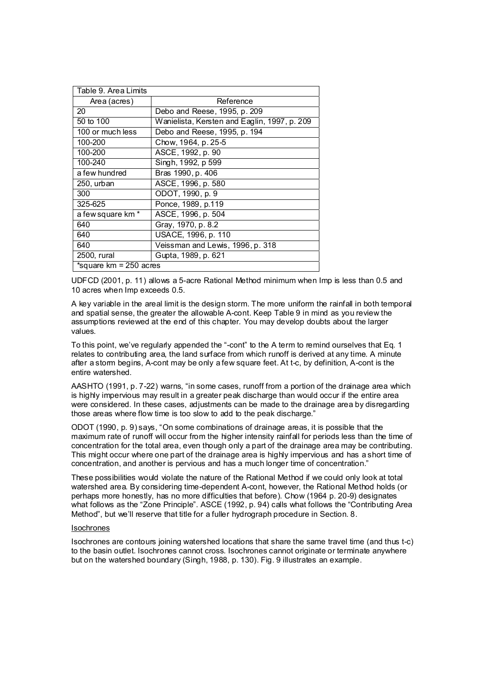| Table 9. Area Limits   |                                              |  |  |  |
|------------------------|----------------------------------------------|--|--|--|
| Area (acres)           | Reference                                    |  |  |  |
| 20                     | Debo and Reese, 1995, p. 209                 |  |  |  |
| 50 to 100              | Wanielista, Kersten and Eaglin, 1997, p. 209 |  |  |  |
| 100 or much less       | Debo and Reese, 1995, p. 194                 |  |  |  |
| 100-200                | Chow, 1964, p. 25-5                          |  |  |  |
| 100-200                | ASCE, 1992, p. 90                            |  |  |  |
| 100-240                | Singh, 1992, p 599                           |  |  |  |
| a few hundred          | Bras 1990, p. 406                            |  |  |  |
| 250, urban             | ASCE, 1996, p. 580                           |  |  |  |
| 300                    | ODOT, 1990, p. 9                             |  |  |  |
| 325-625                | Ponce, 1989, p.119                           |  |  |  |
| a few square km *      | ASCE, 1996, p. 504                           |  |  |  |
| 640                    | Gray, 1970, p. 8.2                           |  |  |  |
| 640                    | USACE, 1996, p. 110                          |  |  |  |
| 640                    | Veissman and Lewis, 1996, p. 318             |  |  |  |
| 2500, rural            | Gupta, 1989, p. 621                          |  |  |  |
| *square km = 250 acres |                                              |  |  |  |

UDFCD (2001, p. 11) allows a 5-acre Rational Method minimum when Imp is less than 0.5 and 10 acres when Imp exceeds 0.5.

A key variable in the areal limit is the design storm. The more uniform the rainfall in both temporal and spatial sense, the greater the allowable A-cont. Keep Table 9 in mind as you review the assumptions reviewed at the end of this chapter. You may develop doubts about the larger values.

To this point, we've regularly appended the "-cont" to the A term to remind ourselves that Eq. 1 relates to contributing area, the land surface from which runoff is derived at any time. A minute after a storm begins, A-cont may be only a few square feet. At t-c, by definition, A-cont is the entire watershed.

AASHTO (1991, p. 7-22) warns, "in some cases, runoff from a portion of the drainage area which is highly impervious may result in a greater peak discharge than would occur if the entire area were considered. In these cases, adjustments can be made to the drainage area by disregarding those areas where flow time is too slow to add to the peak discharge."

ODOT (1990, p. 9) says, "On some combinations of drainage areas, it is possible that the maximum rate of runoff will occur from the higher intensity rainfall for periods less than the time of concentration for the total area, even though only a part of the drainage area may be contributing. This might occur where one part of the drainage area is highly impervious and has a short time of concentration, and another is pervious and has a much longer time of concentration."

These possibilities would violate the nature of the Rational Method if we could only look at total watershed area. By considering time-dependent A-cont, however, the Rational Method holds (or perhaps more honestly, has no more difficulties that before). Chow (1964 p. 20-9) designates what follows as the "Zone Principle". ASCE (1992, p. 94) calls what follows the "Contributing Area Method", but we'll reserve that title for a fuller hydrograph procedure in Section. 8.

#### Isochrones

Isochrones are contours joining watershed locations that share the same travel time (and thus t-c) to the basin outlet. Isochrones cannot cross. Isochrones cannot originate or terminate anywhere but on the watershed boundary (Singh, 1988, p. 130). Fig. 9 illustrates an example.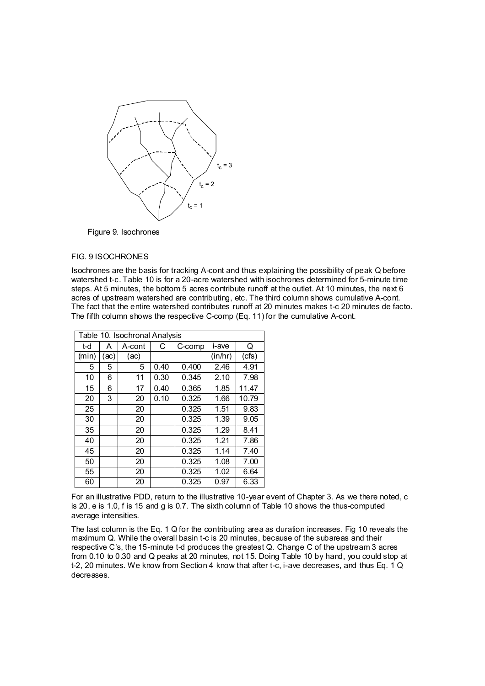

Figure 9. Isochrones

## FIG. 9 ISOCHRONES

Isochrones are the basis for tracking A-cont and thus explaining the possibility of peak Q before watershed t-c. Table 10 is for a 20-acre watershed with isochrones determined for 5-minute time steps. At 5 minutes, the bottom 5 acres contribute runoff at the outlet. At 10 minutes, the next 6 acres of upstream watershed are contributing, etc. The third column shows cumulative A-cont. The fact that the entire watershed contributes runoff at 20 minutes makes t-c 20 minutes de facto. The fifth column shows the respective C-comp (Eq. 11) for the cumulative A-cont.

| Table 10. Isochronal Analysis |      |        |      |        |         |       |
|-------------------------------|------|--------|------|--------|---------|-------|
| t-d                           | А    | A-cont | С    | C-comp | i-ave   | Q     |
| (min)                         | (ac) | (ac)   |      |        | (in/hr) | (cfs) |
| 5                             | 5    | 5      | 0.40 | 0.400  | 2.46    | 4.91  |
| 10                            | 6    | 11     | 0.30 | 0.345  | 2.10    | 7.98  |
| 15                            | 6    | 17     | 0.40 | 0.365  | 1.85    | 11.47 |
| 20                            | 3    | 20     | 0.10 | 0.325  | 1.66    | 10.79 |
| 25                            |      | 20     |      | 0.325  | 1.51    | 9.83  |
| 30                            |      | 20     |      | 0.325  | 1.39    | 9.05  |
| 35                            |      | 20     |      | 0.325  | 1.29    | 8.41  |
| 40                            |      | 20     |      | 0.325  | 1.21    | 7.86  |
| 45                            |      | 20     |      | 0.325  | 1.14    | 7.40  |
| 50                            |      | 20     |      | 0.325  | 1.08    | 7.00  |
| 55                            |      | 20     |      | 0.325  | 1.02    | 6.64  |
| 60                            |      | 20     |      | 0.325  | 0.97    | 6.33  |

For an illustrative PDD, return to the illustrative 10-year event of Chapter 3. As we there noted, c is 20, e is 1.0, f is 15 and g is 0.7. The sixth column of Table 10 shows the thus-computed average intensities.

The last column is the Eq. 1 Q for the contributing area as duration increases. Fig 10 reveals the maximum Q. While the overall basin t-c is 20 minutes, because of the subareas and their respective C's, the 15-minute t-d produces the greatest Q. Change C of the upstream 3 acres from 0.10 to 0.30 and Q peaks at 20 minutes, not 15. Doing Table 10 by hand, you could stop at t-2, 20 minutes. We know from Section 4 know that after t-c, i-ave decreases, and thus Eq. 1 Q decreases.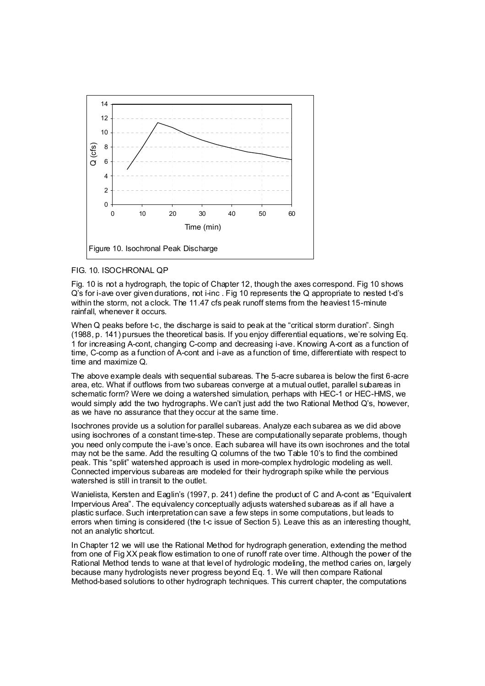

## FIG. 10. ISOCHRONAL QP

Fig. 10 is not a hydrograph, the topic of Chapter 12, though the axes correspond. Fig 10 shows Q's for i-ave over given durations, not i-inc . Fig 10 represents the Q appropriate to nested t-d's within the storm, not a clock. The 11.47 cfs peak runoff stems from the heaviest 15-minute rainfall, whenever it occurs.

When Q peaks before t-c, the discharge is said to peak at the "critical storm duration". Singh (1988, p. 141) pursues the theoretical basis. If you enjoy differential equations, we're solving Eq. 1 for increasing A-cont, changing C-comp and decreasing i-ave. Knowing A-cont as a function of time, C-comp as a function of A-cont and i-ave as a function of time, differentiate with respect to time and maximize Q.

The above example deals with sequential subareas. The 5-acre subarea is below the first 6-acre area, etc. What if outflows from two subareas converge at a mutual outlet, parallel subareas in schematic form? Were we doing a watershed simulation, perhaps with HEC-1 or HEC-HMS, we would simply add the two hydrographs. We can't just add the two Rational Method Q's, however, as we have no assurance that they occur at the same time.

Isochrones provide us a solution for parallel subareas. Analyze each subarea as we did above using isochrones of a constant time-step. These are computationally separate problems, though you need only compute the i-ave's once. Each subarea will have its own isochrones and the total may not be the same. Add the resulting Q columns of the two Table 10's to find the combined peak. This "split" watershed approach is used in more-complex hydrologic modeling as well. Connected impervious subareas are modeled for their hydrograph spike while the pervious watershed is still in transit to the outlet.

Wanielista, Kersten and Eaglin's (1997, p. 241) define the product of C and A-cont as "Equivalent Impervious Area". The equivalency conceptually adjusts watershed subareas as if all have a plastic surface. Such interpretation can save a few steps in some computations, but leads to errors when timing is considered (the t-c issue of Section 5). Leave this as an interesting thought, not an analytic shortcut.

In Chapter 12 we will use the Rational Method for hydrograph generation, extending the method from one of Fig XX peak flow estimation to one of runoff rate over time. Although the power of the Rational Method tends to wane at that level of hydrologic modeling, the method caries on, largely because many hydrologists never progress beyond Eq. 1. We will then compare Rational Method-based solutions to other hydrograph techniques. This current chapter, the computations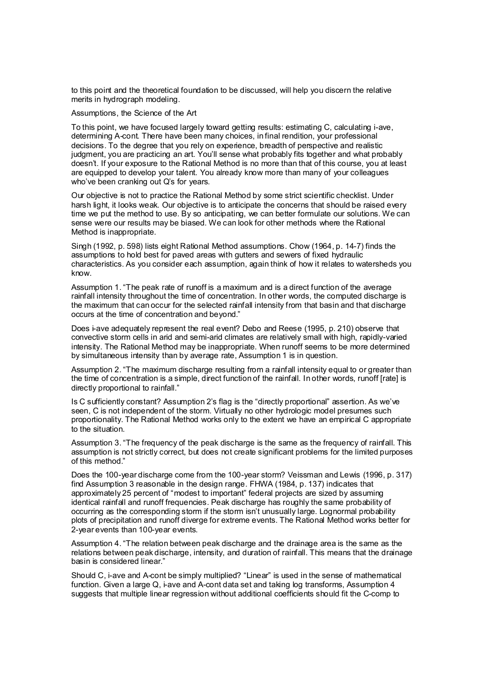to this point and the theoretical foundation to be discussed, will help you discern the relative merits in hydrograph modeling.

Assumptions, the Science of the Art

To this point, we have focused largely toward getting results: estimating C, calculating i-ave, determining A-cont. There have been many choices, in final rendition, your professional decisions. To the degree that you rely on experience, breadth of perspective and realistic judgment, you are practicing an art. You'll sense what probably fits together and what probably doesn't. If your exposure to the Rational Method is no more than that of this course, you at least are equipped to develop your talent. You already know more than many of your colleagues who've been cranking out Q's for years.

Our objective is not to practice the Rational Method by some strict scientific checklist. Under harsh light, it looks weak. Our objective is to anticipate the concerns that should be raised every time we put the method to use. By so anticipating, we can better formulate our solutions. We can sense were our results may be biased. We can look for other methods where the Rational Method is inappropriate.

Singh (1992, p. 598) lists eight Rational Method assumptions. Chow (1964, p. 14-7) finds the assumptions to hold best for paved areas with gutters and sewers of fixed hydraulic characteristics. As you consider each assumption, again think of how it relates to watersheds you know.

Assumption 1. "The peak rate of runoff is a maximum and is a direct function of the average rainfall intensity throughout the time of concentration. In other words, the computed discharge is the maximum that can occur for the selected rainfall intensity from that basin and that discharge occurs at the time of concentration and beyond."

Does i-ave adequately represent the real event? Debo and Reese (1995, p. 210) observe that convective storm cells in arid and semi-arid climates are relatively small with high, rapidly-varied intensity. The Rational Method may be inappropriate. When runoff seems to be more determined by simultaneous intensity than by average rate, Assumption 1 is in question.

Assumption 2. "The maximum discharge resulting from a rainfall intensity equal to or greater than the time of concentration is a simple, direct function of the rainfall. In other words, runoff [rate] is directly proportional to rainfall."

Is C sufficiently constant? Assumption 2's flag is the "directly proportional" assertion. As we've seen, C is not independent of the storm. Virtually no other hydrologic model presumes such proportionality. The Rational Method works only to the extent we have an empirical C appropriate to the situation.

Assumption 3. "The frequency of the peak discharge is the same as the frequency of rainfall. This assumption is not strictly correct, but does not create significant problems for the limited purposes of this method."

Does the 100-year discharge come from the 100-year storm? Veissman and Lewis (1996, p. 317) find Assumption 3 reasonable in the design range. FHWA (1984, p. 137) indicates that approximately 25 percent of "modest to important" federal projects are sized by assuming identical rainfall and runoff frequencies. Peak discharge has roughly the same probability of occurring as the corresponding storm if the storm isn't unusually large. Lognormal probability plots of precipitation and runoff diverge for extreme events. The Rational Method works better for 2-year events than 100-year events.

Assumption 4. "The relation between peak discharge and the drainage area is the same as the relations between peak discharge, intensity, and duration of rainfall. This means that the drainage basin is considered linear."

Should C, i-ave and A-cont be simply multiplied? "Linear" is used in the sense of mathematical function. Given a large Q, i-ave and A-cont data set and taking log transforms, Assumption 4 suggests that multiple linear regression without additional coefficients should fit the C-comp to